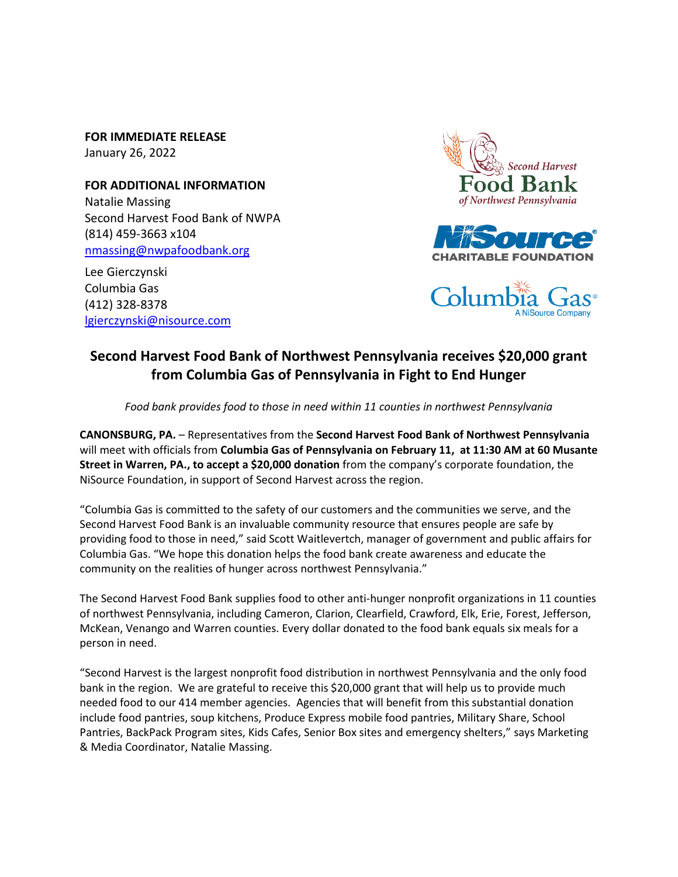**FOR IMMEDIATE RELEASE** January 26, 2022

**FOR ADDITIONAL INFORMATION** Natalie Massing Second Harvest Food Bank of NWPA (814) 459-3663 x104 [nmassing@nwpafoodbank.org](mailto:nmassing@nwpafoodbank.org)

Lee Gierczynski Columbia Gas (412) 328-8378 [lgierczynski@nisource.com](mailto:lgierczynski@nisource.com)







## **Second Harvest Food Bank of Northwest Pennsylvania receives \$20,000 grant from Columbia Gas of Pennsylvania in Fight to End Hunger**

*Food bank provides food to those in need within 11 counties in northwest Pennsylvania* 

**CANONSBURG, PA.** – Representatives from the **Second Harvest Food Bank of Northwest Pennsylvania** will meet with officials from **Columbia Gas of Pennsylvania on February 11, at 11:30 AM at 60 Musante Street in Warren, PA., to accept a \$20,000 donation** from the company's corporate foundation, the NiSource Foundation, in support of Second Harvest across the region.

"Columbia Gas is committed to the safety of our customers and the communities we serve, and the Second Harvest Food Bank is an invaluable community resource that ensures people are safe by providing food to those in need," said Scott Waitlevertch, manager of government and public affairs for Columbia Gas. "We hope this donation helps the food bank create awareness and educate the community on the realities of hunger across northwest Pennsylvania."

The Second Harvest Food Bank supplies food to other anti-hunger nonprofit organizations in 11 counties of northwest Pennsylvania, including Cameron, Clarion, Clearfield, Crawford, Elk, Erie, Forest, Jefferson, McKean, Venango and Warren counties. Every dollar donated to the food bank equals six meals for a person in need.

"Second Harvest is the largest nonprofit food distribution in northwest Pennsylvania and the only food bank in the region. We are grateful to receive this \$20,000 grant that will help us to provide much needed food to our 414 member agencies. Agencies that will benefit from this substantial donation include food pantries, soup kitchens, Produce Express mobile food pantries, Military Share, School Pantries, BackPack Program sites, Kids Cafes, Senior Box sites and emergency shelters," says Marketing & Media Coordinator, Natalie Massing.